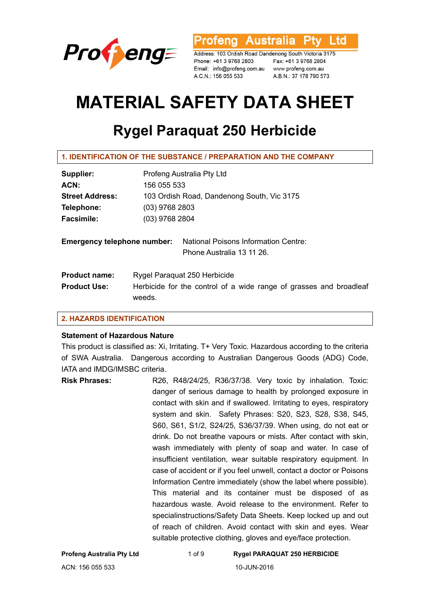

**Australia** l td ofena

Address: 103 Ordish Road Dandenong South Victoria 3175 Phone: +61 3 9768 2803 Email: info@profeng.com.au www.profeng.com.au A.C.N.: 156 055 533

Fax: +61 3 9768 2804 A.B.N.: 37 178 790 573

# **MATERIAL SAFETY DATA SHEET**

# **Rygel Paraquat 250 Herbicide**

| 1. IDENTIFICATION OF THE SUBSTANCE / PREPARATION AND THE COMPANY |  |  |  |
|------------------------------------------------------------------|--|--|--|
|------------------------------------------------------------------|--|--|--|

| Supplier:                          |                  | Profeng Australia Pty Ltd                                          |  |
|------------------------------------|------------------|--------------------------------------------------------------------|--|
| ACN:                               | 156 055 533      |                                                                    |  |
| <b>Street Address:</b>             |                  | 103 Ordish Road, Dandenong South, Vic 3175                         |  |
| Telephone:                         |                  | $(03)$ 9768 2803                                                   |  |
| <b>Facsimile:</b>                  | $(03)$ 9768 2804 |                                                                    |  |
| <b>Emergency telephone number:</b> |                  | National Poisons Information Centre:<br>Phone Australia 13 11 26.  |  |
| <b>Product name:</b>               |                  | Rygel Paraguat 250 Herbicide                                       |  |
| <b>Product Use:</b>                | weeds.           | Herbicide for the control of a wide range of grasses and broadleaf |  |

# **2. HAZARDS IDENTIFICATION**

#### **Statement of Hazardous Nature**

This product is classified as: Xi, Irritating. T+ Very Toxic. Hazardous according to the criteria of SWA Australia. Dangerous according to Australian Dangerous Goods (ADG) Code, IATA and IMDG/IMSBC criteria.

**Risk Phrases:** R26, R48/24/25, R36/37/38. Very toxic by inhalation. Toxic: danger of serious damage to health by prolonged exposure in contact with skin and if swallowed. Irritating to eyes, respiratory system and skin. Safety Phrases: S20, S23, S28, S38, S45, S60, S61, S1/2, S24/25, S36/37/39. When using, do not eat or drink. Do not breathe vapours or mists. After contact with skin, wash immediately with plenty of soap and water. In case of insufficient ventilation, wear suitable respiratory equipment. In case of accident or if you feel unwell, contact a doctor or Poisons Information Centre immediately (show the label where possible). This material and its container must be disposed of as hazardous waste. Avoid release to the environment. Refer to specialinstructions/Safety Data Sheets. Keep locked up and out of reach of children. Avoid contact with skin and eyes. Wear suitable protective clothing, gloves and eye/face protection.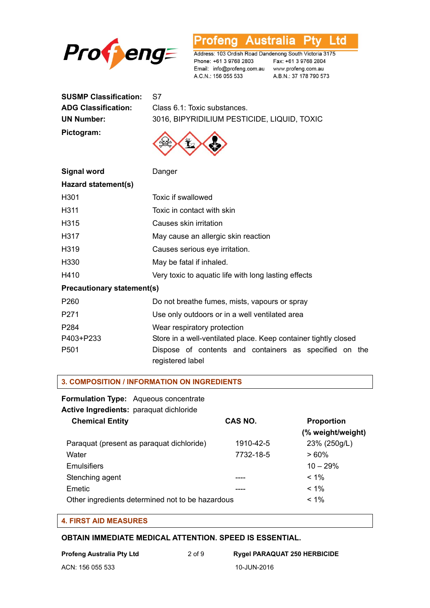

**Profeng Australia Pty Ltd** 

Address: 103 Ordish Road Dandenong South Victoria 3175 A.C.N.: 156 055 533

A.B.N.: 37 178 790 573

| <b>SUSMP Classification:</b> | S7              |
|------------------------------|-----------------|
| <b>ADG Classification:</b>   | Class 6.1: Toxi |
| UN Number:                   | 3016, BIPYRII   |
| Pictogram:                   | $\wedge$        |

**ADG Classification:** Class 6.1: Toxic substances. DILIUM PESTICIDE, LIQUID, TOXIC



| <b>Signal word</b>                | Danger                                                                     |  |
|-----------------------------------|----------------------------------------------------------------------------|--|
| Hazard statement(s)               |                                                                            |  |
| H <sub>301</sub>                  | Toxic if swallowed                                                         |  |
| H311                              | Toxic in contact with skin                                                 |  |
| H315                              | Causes skin irritation                                                     |  |
| H317                              | May cause an allergic skin reaction                                        |  |
| H319                              | Causes serious eye irritation.                                             |  |
| H <sub>330</sub>                  | May be fatal if inhaled.                                                   |  |
| H410                              | Very toxic to aquatic life with long lasting effects                       |  |
| <b>Precautionary statement(s)</b> |                                                                            |  |
| P <sub>260</sub>                  | Do not breathe fumes, mists, vapours or spray                              |  |
| P <sub>271</sub>                  | Use only outdoors or in a well ventilated area                             |  |
| P <sub>2</sub> 84                 | Wear respiratory protection                                                |  |
| P403+P233                         | Store in a well-ventilated place. Keep container tightly closed            |  |
| P <sub>501</sub>                  | Dispose of contents and containers as specified on the<br>registered label |  |

#### **3. COMPOSITION / INFORMATION ON INGREDIENTS**

**Formulation Type:** Aqueous concentrate

**Active Ingredients:** paraquat dichloride

| <b>Chemical Entity</b>                           | CAS NO.   | <b>Proportion</b> |
|--------------------------------------------------|-----------|-------------------|
|                                                  |           | (% weight/weight) |
| Paraquat (present as paraquat dichloride)        | 1910-42-5 | 23% (250g/L)      |
| Water                                            | 7732-18-5 | $>60\%$           |
| Emulsifiers                                      |           | $10 - 29%$        |
| Stenching agent                                  |           | $< 1\%$           |
| Emetic                                           |           | $< 1\%$           |
| Other ingredients determined not to be hazardous |           | $< 1\%$           |

### **4. FIRST AID MEASURES**

#### **OBTAIN IMMEDIATE MEDICAL ATTENTION. SPEED IS ESSENTIAL.**

**Profeng Australia Pty Ltd** 2 of 9 **Rygel PARAQUAT 250 HERBICIDE**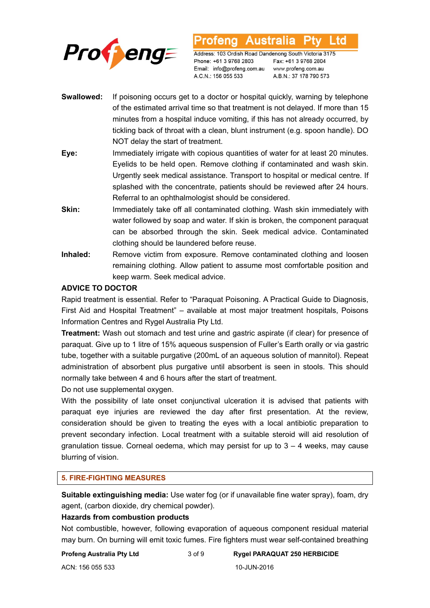

Australia L td ofena

Address: 103 Ordish Road Dandenong South Victoria 3175 Phone: +61 3 9768 2803 Email: info@profeng.com.au A.C.N.: 156 055 533

Fax: +61 3 9768 2804 www.profeng.com.au A.B.N.: 37 178 790 573

- **Swallowed:** If poisoning occurs get to a doctor or hospital quickly, warning by telephone of the estimated arrival time so that treatment is not delayed. If more than 15 minutes from a hospital induce vomiting, if this has not already occurred, by tickling back of throat with a clean, blunt instrument (e.g. spoon handle). DO NOT delay the start of treatment.
- **Eye:** Immediately irrigate with copious quantities of water for at least 20 minutes. Eyelids to be held open. Remove clothing if contaminated and wash skin. Urgently seek medical assistance. Transport to hospital or medical centre. If splashed with the concentrate, patients should be reviewed after 24 hours. Referral to an ophthalmologist should be considered.
- **Skin:** Immediately take off all contaminated clothing. Wash skin immediately with water followed by soap and water. If skin is broken, the component paraquat can be absorbed through the skin. Seek medical advice. Contaminated clothing should be laundered before reuse.
- **Inhaled:** Remove victim from exposure. Remove contaminated clothing and loosen remaining clothing. Allow patient to assume most comfortable position and keep warm. Seek medical advice.

# **ADVICE TO DOCTOR**

Rapid treatment is essential. Refer to "Paraquat Poisoning. A Practical Guide to Diagnosis, First Aid and Hospital Treatment" – available at most major treatment hospitals, Poisons Information Centres and Rygel Australia Pty Ltd.

**Treatment:** Wash out stomach and test urine and gastric aspirate (if clear) for presence of paraquat. Give up to 1 litre of 15% aqueous suspension of Fuller's Earth orally or via gastric tube, together with a suitable purgative (200mL of an aqueous solution of mannitol). Repeat administration of absorbent plus purgative until absorbent is seen in stools. This should normally take between 4 and 6 hours after the start of treatment.

Do not use supplemental oxygen.

With the possibility of late onset conjunctival ulceration it is advised that patients with paraquat eye injuries are reviewed the day after first presentation. At the review, consideration should be given to treating the eyes with a local antibiotic preparation to prevent secondary infection. Local treatment with a suitable steroid will aid resolution of granulation tissue. Corneal oedema, which may persist for up to  $3 - 4$  weeks, may cause blurring of vision.

### **5. FIRE-FIGHTING MEASURES**

**Suitable extinguishing media:** Use water fog (or if unavailable fine water spray), foam, dry agent, (carbon dioxide, dry chemical powder).

#### **Hazards from combustion products**

Not combustible, however, following evaporation of aqueous component residual material may burn. On burning will emit toxic fumes. Fire fighters must wear self-contained breathing

**Profeng Australia Pty Ltd** 3 of 9 **Rygel PARAQUAT 250 HERBICIDE** 

ACN: 156 055 533 10-JUN-2016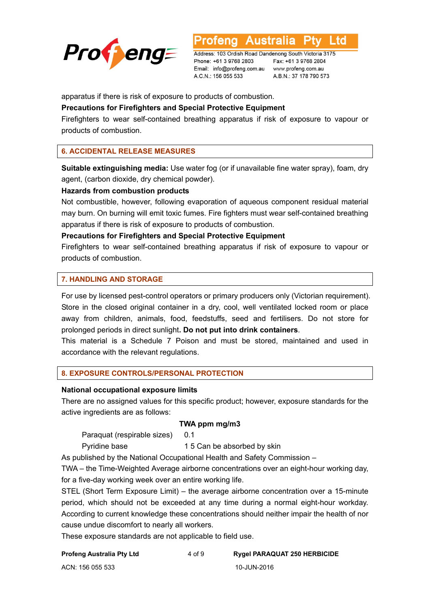

Ltd **Australia** 

Address: 103 Ordish Road Dandenong South Victoria 3175 Phone: +61 3 9768 2803 Email: info@profeng.com.au www.profeng.com.au A.C.N.: 156 055 533

Fax: +61 3 9768 2804 A.B.N.: 37 178 790 573

apparatus if there is risk of exposure to products of combustion.

### **Precautions for Firefighters and Special Protective Equipment**

Firefighters to wear self-contained breathing apparatus if risk of exposure to vapour or products of combustion.

# **6. ACCIDENTAL RELEASE MEASURES**

**Suitable extinguishing media:** Use water fog (or if unavailable fine water spray), foam, dry agent, (carbon dioxide, dry chemical powder).

#### **Hazards from combustion products**

Not combustible, however, following evaporation of aqueous component residual material may burn. On burning will emit toxic fumes. Fire fighters must wear self-contained breathing apparatus if there is risk of exposure to products of combustion.

#### **Precautions for Firefighters and Special Protective Equipment**

Firefighters to wear self-contained breathing apparatus if risk of exposure to vapour or products of combustion.

#### **7. HANDLING AND STORAGE**

For use by licensed pest-control operators or primary producers only (Victorian requirement). Store in the closed original container in a dry, cool, well ventilated locked room or place away from children, animals, food, feedstuffs, seed and fertilisers. Do not store for prolonged periods in direct sunlight**. Do not put into drink containers**.

This material is a Schedule 7 Poison and must be stored, maintained and used in accordance with the relevant regulations.

#### **8. EXPOSURE CONTROLS/PERSONAL PROTECTION**

#### **National occupational exposure limits**

There are no assigned values for this specific product; however, exposure standards for the active ingredients are as follows:

#### **TWA ppm mg/m3**

Paraquat (respirable sizes) 0.1

Pyridine base 15 Can be absorbed by skin

As published by the National Occupational Health and Safety Commission –

TWA – the Time-Weighted Average airborne concentrations over an eight-hour working day, for a five-day working week over an entire working life.

STEL (Short Term Exposure Limit) – the average airborne concentration over a 15-minute period, which should not be exceeded at any time during a normal eight-hour workday. According to current knowledge these concentrations should neither impair the health of nor cause undue discomfort to nearly all workers.

These exposure standards are not applicable to field use.

**Profeng Australia Pty Ltd** 4 of 9 **Rygel PARAQUAT 250 HERBICIDE**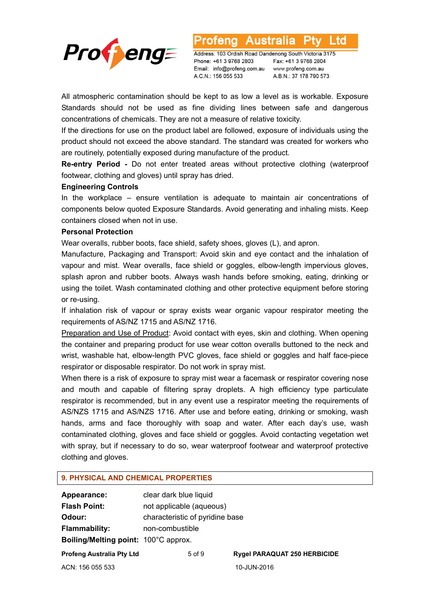

Australia L td otena

Address: 103 Ordish Road Dandenong South Victoria 3175 Phone: +61 3 9768 2803 Email: info@profeng.com.au A.C.N.: 156 055 533

Fax: +61 3 9768 2804 www.profeng.com.au A.B.N.: 37 178 790 573

All atmospheric contamination should be kept to as low a level as is workable. Exposure Standards should not be used as fine dividing lines between safe and dangerous concentrations of chemicals. They are not a measure of relative toxicity.

If the directions for use on the product label are followed, exposure of individuals using the product should not exceed the above standard. The standard was created for workers who are routinely, potentially exposed during manufacture of the product.

**Re-entry Period -** Do not enter treated areas without protective clothing (waterproof footwear, clothing and gloves) until spray has dried.

#### **Engineering Controls**

In the workplace – ensure ventilation is adequate to maintain air concentrations of components below quoted Exposure Standards. Avoid generating and inhaling mists. Keep containers closed when not in use.

#### **Personal Protection**

Wear overalls, rubber boots, face shield, safety shoes, gloves (L), and apron.

Manufacture, Packaging and Transport: Avoid skin and eye contact and the inhalation of vapour and mist. Wear overalls, face shield or goggles, elbow-length impervious gloves, splash apron and rubber boots. Always wash hands before smoking, eating, drinking or using the toilet. Wash contaminated clothing and other protective equipment before storing or re-using.

If inhalation risk of vapour or spray exists wear organic vapour respirator meeting the requirements of AS/NZ 1715 and AS/NZ 1716.

Preparation and Use of Product: Avoid contact with eyes, skin and clothing. When opening the container and preparing product for use wear cotton overalls buttoned to the neck and wrist, washable hat, elbow-length PVC gloves, face shield or goggles and half face-piece respirator or disposable respirator. Do not work in spray mist.

When there is a risk of exposure to spray mist wear a facemask or respirator covering nose and mouth and capable of filtering spray droplets. A high efficiency type particulate respirator is recommended, but in any event use a respirator meeting the requirements of AS/NZS 1715 and AS/NZS 1716. After use and before eating, drinking or smoking, wash hands, arms and face thoroughly with soap and water. After each day's use, wash contaminated clothing, gloves and face shield or goggles. Avoid contacting vegetation wet with spray, but if necessary to do so, wear waterproof footwear and waterproof protective clothing and gloves.

#### **9. PHYSICAL AND CHEMICAL PROPERTIES**

| Appearance:                          | clear dark blue liquid          |                    |  |
|--------------------------------------|---------------------------------|--------------------|--|
| <b>Flash Point:</b>                  | not applicable (aqueous)        |                    |  |
| Odour:                               | characteristic of pyridine base |                    |  |
| <b>Flammability:</b>                 | non-combustible                 |                    |  |
| Boiling/Melting point: 100°C approx. |                                 |                    |  |
| <b>Profeng Australia Pty Ltd</b>     | $5$ of $9$                      | <b>Rygel PARAC</b> |  |
| ACN: 156 055 533                     |                                 | 10-JUN-2016        |  |

**RAQUAT 250 HERBICIDE**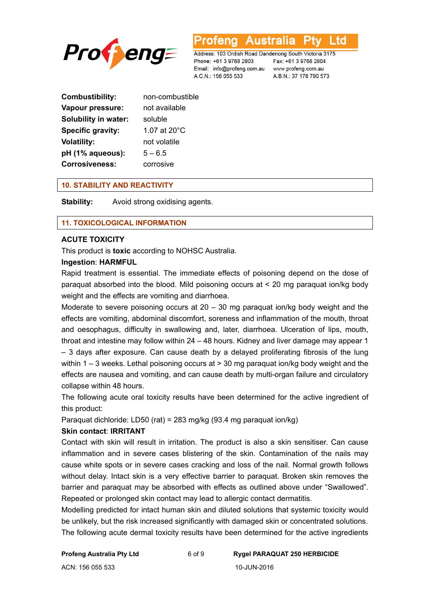

L to rena

Address: 103 Ordish Road Dandenong South Victoria 3175 Phone: +61 3 9768 2803 Email: info@profeng.com.au www.profeng.com.au A.C.N.: 156 055 533

Fax: +61 3 9768 2804 A.B.N.: 37 178 790 573

| <b>Combustibility:</b>      | non-combustible |
|-----------------------------|-----------------|
| Vapour pressure:            | not available   |
| <b>Solubility in water:</b> | soluble         |
| Specific gravity:           | 1.07 at 20°C    |
| <b>Volatility:</b>          | not volatile    |
| pH (1% aqueous):            | $5 - 6.5$       |
| <b>Corrosiveness:</b>       | corrosive       |

# **10. STABILITY AND REACTIVITY**

**Stability:** Avoid strong oxidising agents.

# **11. TOXICOLOGICAL INFORMATION**

#### **ACUTE TOXICITY**

This product is **toxic** according to NOHSC Australia.

#### **Ingestion**: **HARMFUL**

Rapid treatment is essential. The immediate effects of poisoning depend on the dose of paraquat absorbed into the blood. Mild poisoning occurs at < 20 mg paraquat ion/kg body weight and the effects are vomiting and diarrhoea.

Moderate to severe poisoning occurs at 20 – 30 mg paraquat ion/kg body weight and the effects are vomiting, abdominal discomfort, soreness and inflammation of the mouth, throat and oesophagus, difficulty in swallowing and, later, diarrhoea. Ulceration of lips, mouth, throat and intestine may follow within 24 – 48 hours. Kidney and liver damage may appear 1 – 3 days after exposure. Can cause death by a delayed proliferating fibrosis of the lung within  $1 - 3$  weeks. Lethal poisoning occurs at  $> 30$  mg paraquat ion/kg body weight and the effects are nausea and vomiting, and can cause death by multi-organ failure and circulatory collapse within 48 hours.

The following acute oral toxicity results have been determined for the active ingredient of this product:

Paraquat dichloride: LD50 (rat) = 283 mg/kg (93.4 mg paraquat ion/kg)

#### **Skin contact**: **IRRITANT**

Contact with skin will result in irritation. The product is also a skin sensitiser. Can cause inflammation and in severe cases blistering of the skin. Contamination of the nails may cause white spots or in severe cases cracking and loss of the nail. Normal growth follows without delay. Intact skin is a very effective barrier to paraquat. Broken skin removes the barrier and paraquat may be absorbed with effects as outlined above under "Swallowed". Repeated or prolonged skin contact may lead to allergic contact dermatitis.

Modelling predicted for intact human skin and diluted solutions that systemic toxicity would be unlikely, but the risk increased significantly with damaged skin or concentrated solutions. The following acute dermal toxicity results have been determined for the active ingredients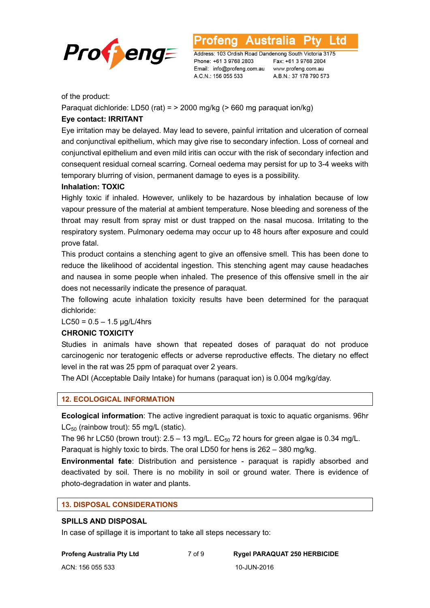

Australia L td

Address: 103 Ordish Road Dandenong South Victoria 3175 Phone: +61 3 9768 2803 Email: info@profeng.com.au www.profeng.com.au A.C.N.: 156 055 533

Fax: +61 3 9768 2804 A.B.N.: 37 178 790 573

of the product:

Paraquat dichloride: LD50 (rat) =  $>$  2000 mg/kg ( $>$  660 mg paraquat ion/kg)

# **Eye contact: IRRITANT**

Eye irritation may be delayed. May lead to severe, painful irritation and ulceration of corneal and conjunctival epithelium, which may give rise to secondary infection. Loss of corneal and conjunctival epithelium and even mild iritis can occur with the risk of secondary infection and consequent residual corneal scarring. Corneal oedema may persist for up to 3-4 weeks with temporary blurring of vision, permanent damage to eyes is a possibility.

# **Inhalation: TOXIC**

Highly toxic if inhaled. However, unlikely to be hazardous by inhalation because of low vapour pressure of the material at ambient temperature. Nose bleeding and soreness of the throat may result from spray mist or dust trapped on the nasal mucosa. Irritating to the respiratory system. Pulmonary oedema may occur up to 48 hours after exposure and could prove fatal.

This product contains a stenching agent to give an offensive smell. This has been done to reduce the likelihood of accidental ingestion. This stenching agent may cause headaches and nausea in some people when inhaled. The presence of this offensive smell in the air does not necessarily indicate the presence of paraquat.

The following acute inhalation toxicity results have been determined for the paraquat dichloride:

 $LC50 = 0.5 - 1.5$  ug/L/4hrs

# **CHRONIC TOXICITY**

Studies in animals have shown that repeated doses of paraquat do not produce carcinogenic nor teratogenic effects or adverse reproductive effects. The dietary no effect level in the rat was 25 ppm of paraquat over 2 years.

The ADI (Acceptable Daily Intake) for humans (paraquat ion) is 0.004 mg/kg/day.

# **12. ECOLOGICAL INFORMATION**

**Ecological information**: The active ingredient paraquat is toxic to aquatic organisms. 96hr  $LC_{50}$  (rainbow trout): 55 mg/L (static).

The 96 hr LC50 (brown trout):  $2.5 - 13$  mg/L. EC<sub>50</sub> 72 hours for green algae is 0.34 mg/L. Paraquat is highly toxic to birds. The oral LD50 for hens is 262 – 380 mg/kg.

**Environmental fate**: Distribution and persistence - paraquat is rapidly absorbed and deactivated by soil. There is no mobility in soil or ground water. There is evidence of photo-degradation in water and plants.

# **13. DISPOSAL CONSIDERATIONS**

# **SPILLS AND DISPOSAL**

In case of spillage it is important to take all steps necessary to: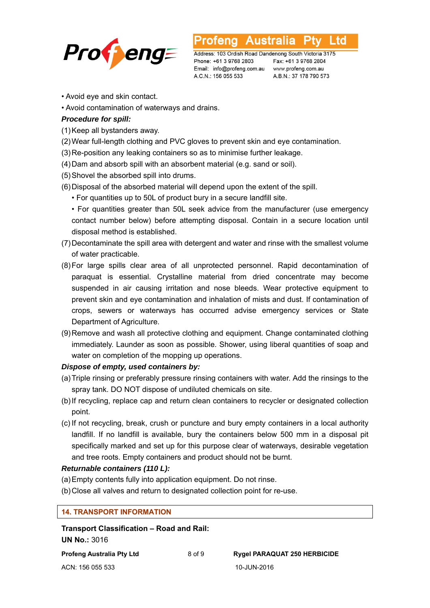

**Australia** L to

Address: 103 Ordish Road Dandenong South Victoria 3175 Phone: +61 3 9768 2803 Email: info@profeng.com.au www.profeng.com.au A.C.N.: 156 055 533

Fax: +61 3 9768 2804 A.B.N.: 37 178 790 573

- Avoid eye and skin contact.
- Avoid contamination of waterways and drains.

# *Procedure for spill:*

- (1) Keep all bystanders away.
- (2) Wear full-length clothing and PVC gloves to prevent skin and eye contamination.
- (3) Re-position any leaking containers so as to minimise further leakage.
- (4) Dam and absorb spill with an absorbent material (e.g. sand or soil).
- (5) Shovel the absorbed spill into drums.
- (6) Disposal of the absorbed material will depend upon the extent of the spill.
	- For quantities up to 50L of product bury in a secure landfill site.

 • For quantities greater than 50L seek advice from the manufacturer (use emergency contact number below) before attempting disposal. Contain in a secure location until disposal method is established.

- (7) Decontaminate the spill area with detergent and water and rinse with the smallest volume of water practicable.
- (8) For large spills clear area of all unprotected personnel. Rapid decontamination of paraquat is essential. Crystalline material from dried concentrate may become suspended in air causing irritation and nose bleeds. Wear protective equipment to prevent skin and eye contamination and inhalation of mists and dust. If contamination of crops, sewers or waterways has occurred advise emergency services or State Department of Agriculture.
- (9) Remove and wash all protective clothing and equipment. Change contaminated clothing immediately. Launder as soon as possible. Shower, using liberal quantities of soap and water on completion of the mopping up operations.

# *Dispose of empty, used containers by:*

- (a) Triple rinsing or preferably pressure rinsing containers with water. Add the rinsings to the spray tank. DO NOT dispose of undiluted chemicals on site.
- (b) If recycling, replace cap and return clean containers to recycler or designated collection point.
- (c) If not recycling, break, crush or puncture and bury empty containers in a local authority landfill. If no landfill is available, bury the containers below 500 mm in a disposal pit specifically marked and set up for this purpose clear of waterways, desirable vegetation and tree roots. Empty containers and product should not be burnt.

# *Returnable containers (110 L):*

- (a) Empty contents fully into application equipment. Do not rinse.
- (b) Close all valves and return to designated collection point for re-use.

### **14. TRANSPORT INFORMATION**

**Transport Classification – Road and Rail: UN No.:** 3016